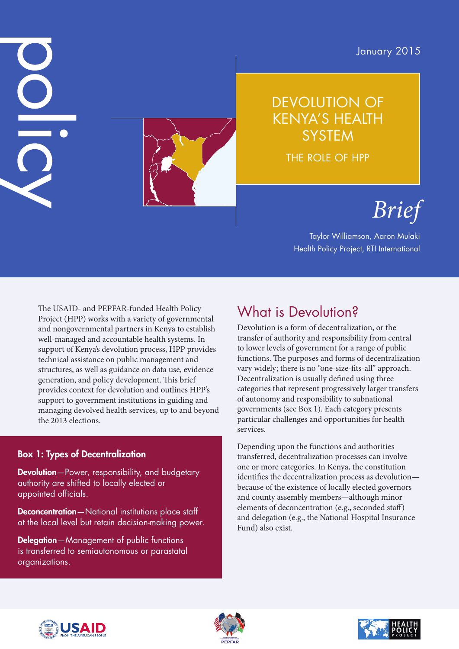January 2015



### DEVOLUTION OF KENYA'S HEALTH **SYSTEM**

THE ROLE OF HPP

# *Brief*

Taylor Williamson, Aaron Mulaki Health Policy Project, RTI International

The USAID- and PEPFAR-funded Health Policy Project (HPP) works with a variety of governmental and nongovernmental partners in Kenya to establish well-managed and accountable health systems. In support of Kenya's devolution process, HPP provides technical assistance on public management and structures, as well as guidance on data use, evidence generation, and policy development. This brief provides context for devolution and outlines HPP's support to government institutions in guiding and managing devolved health services, up to and beyond the 2013 elections.

#### Box 1: Types of Decentralization

DC

Devolution-Power, responsibility, and budgetary authority are shifted to locally elected or appointed officials.

Deconcentration—National institutions place staff at the local level but retain decision-making power.

Delegation-Management of public functions is transferred to semiautonomous or parastatal organizations.

# What is Devolution?

Devolution is a form of decentralization, or the transfer of authority and responsibility from central to lower levels of government for a range of public functions. The purposes and forms of decentralization vary widely; there is no "one-size-fits-all" approach. Decentralization is usually defined using three categories that represent progressively larger transfers of autonomy and responsibility to subnational governments (see Box 1). Each category presents particular challenges and opportunities for health services.

Depending upon the functions and authorities transferred, decentralization processes can involve one or more categories. In Kenya, the constitution identifies the decentralization process as devolution because of the existence of locally elected governors and county assembly members—although minor elements of deconcentration (e.g., seconded staff) and delegation (e.g., the National Hospital Insurance Fund) also exist.





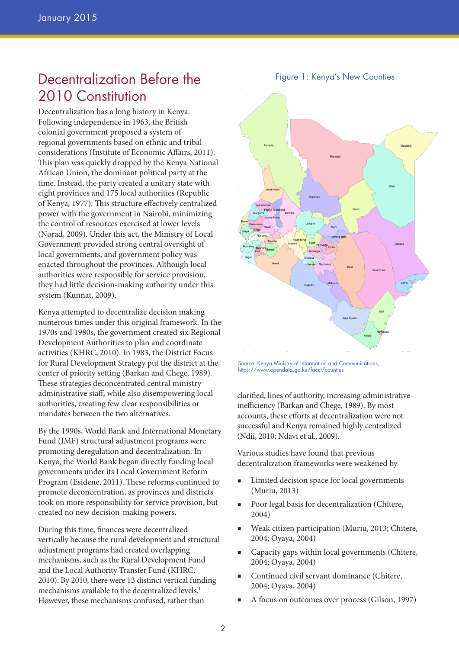### Decentralization Before the 2010 Constitution

Decentralization has a long history in Kenya. Following independence in 1963, the British colonial government proposed a system of regional governments based on ethnic and tribal considerations (Institute of Economic Affairs, 2011). This plan was quickly dropped by the Kenya National African Union, the dominant political party at the time. Instead, the party created a unitary state with eight provinces and 175 local authorities (Republic of Kenya, 1977). This structure effectively centralized power with the government in Nairobi, minimizing the control of resources exercised at lower levels (Norad, 2009). Under this act, the Ministry of Local Government provided strong central oversight of local governments, and government policy was enacted throughout the provinces. Although local authorities were responsible for service provision, they had little decision-making authority under this system (Kunnat, 2009).

Kenya attempted to decentralize decision making numerous times under this original framework. In the 1970s and 1980s, the government created six Regional Development Authorities to plan and coordinate activities (KHRC, 2010). In 1983, the District Focus for Rural Development Strategy put the district at the center of priority setting (Barkan and Chege, 1989). These strategies deconcentrated central ministry administrative staff, while also disempowering local authorities, creating few clear responsibilities or mandates between the two alternatives.

By the 1990s, World Bank and International Monetary Fund (IMF) structural adjustment programs were promoting deregulation and decentralization. In Kenya, the World Bank began directly funding local governments under its Local Government Reform Program (Esidene, 2011). These reforms continued to promote deconcentration, as provinces and districts took on more responsibility for service provision, but created no new decision-making powers.

During this time, finances were decentralized vertically because the rural development and structural adjustment programs had created overlapping mechanisms, such as the Rural Development Fund and the Local Authority Transfer Fund (KHRC, 2010). By 2010, there were 13 distinct vertical funding mechanisms available to the decentralized levels.<sup>1</sup> However, these mechanisms confused, rather than



Source: Kenya Ministry of Information and Communications, https://www.opendata.go.ke/facet/counties

clarified, lines of authority, increasing administrative inefficiency (Barkan and Chege, 1989). By most accounts, these efforts at decentralization were not successful and Kenya remained highly centralized (Ndii, 2010; Ndavi et al., 2009).

Various studies have found that previous decentralization frameworks were weakened by

- Limited decision space for local governments (Muriu, 2013)
- Poor legal basis for decentralization (Chitere, 2004)
- Weak citizen participation (Muriu, 2013; Chitere, 2004; Oyaya, 2004)
- Capacity gaps within local governments (Chitere, 2004; Oyaya, 2004)
- Continued civil servant dominance (Chitere, 2004; Oyaya, 2004)
- A focus on outcomes over process (Gilson, 1997)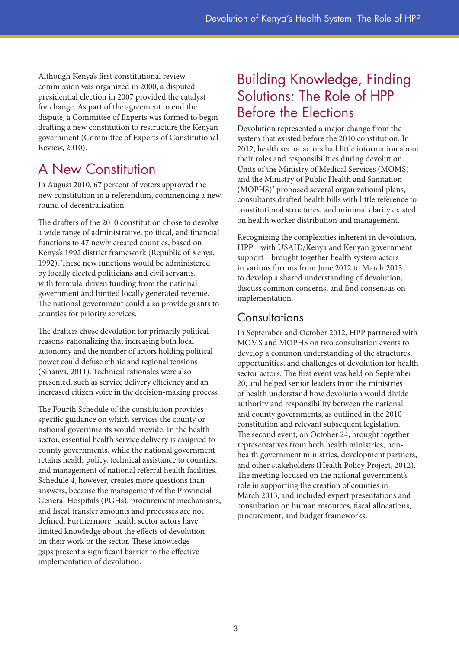Although Kenya's first constitutional review commission was organized in 2000, a disputed presidential election in 2007 provided the catalyst for change. As part of the agreement to end the dispute, a Committee of Experts was formed to begin drafting a new constitution to restructure the Kenyan government (Committee of Experts of Constitutional Review, 2010).

# A New Constitution

In August 2010, 67 percent of voters approved the new constitution in a referendum, commencing a new round of decentralization.

The drafters of the 2010 constitution chose to devolve a wide range of administrative, political, and financial functions to 47 newly created counties, based on Kenya's 1992 district framework (Republic of Kenya, 1992). These new functions would be administered by locally elected politicians and civil servants, with formula-driven funding from the national government and limited locally generated revenue. The national government could also provide grants to counties for priority services.

The drafters chose devolution for primarily political reasons, rationalizing that increasing both local autonomy and the number of actors holding political power could defuse ethnic and regional tensions (Sihanya, 2011). Technical rationales were also presented, such as service delivery efficiency and an increased citizen voice in the decision-making process.

The Fourth Schedule of the constitution provides specific guidance on which services the county or national governments would provide. In the health sector, essential health service delivery is assigned to county governments, while the national government retains health policy, technical assistance to counties, and management of national referral health facilities. Schedule 4, however, creates more questions than answers, because the management of the Provincial General Hospitals (PGHs), procurement mechanisms, and fiscal transfer amounts and processes are not defined. Furthermore, health sector actors have limited knowledge about the effects of devolution on their work or the sector. These knowledge gaps present a significant barrier to the effective implementation of devolution.

### Building Knowledge, Finding Solutions: The Role of HPP Before the Elections

Devolution represented a major change from the system that existed before the 2010 constitution. In 2012, health sector actors had little information about their roles and responsibilities during devolution. Units of the Ministry of Medical Services (MOMS) and the Ministry of Public Health and Sanitation (MOPHS)2 proposed several organizational plans, consultants drafted health bills with little reference to constitutional structures, and minimal clarity existed on health worker distribution and management.

Recognizing the complexities inherent in devolution, HPP—with USAID/Kenya and Kenyan government support—brought together health system actors in various forums from June 2012 to March 2013 to develop a shared understanding of devolution, discuss common concerns, and find consensus on implementation.

#### **Consultations**

In September and October 2012, HPP partnered with MOMS and MOPHS on two consultation events to develop a common understanding of the structures, opportunities, and challenges of devolution for health sector actors. The first event was held on September 20, and helped senior leaders from the ministries of health understand how devolution would divide authority and responsibility between the national and county governments, as outlined in the 2010 constitution and relevant subsequent legislation. The second event, on October 24, brought together representatives from both health ministries, nonhealth government ministries, development partners, and other stakeholders (Health Policy Project, 2012). The meeting focused on the national government's role in supporting the creation of counties in March 2013, and included expert presentations and consultation on human resources, fiscal allocations, procurement, and budget frameworks.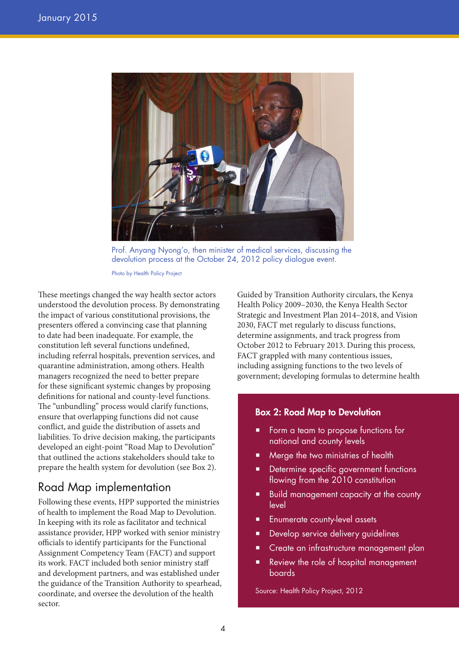

Prof. Anyang Nyong'o, then minister of medical services, discussing the devolution process at the October 24, 2012 policy dialogue event.

Photo by Health Policy Project

These meetings changed the way health sector actors understood the devolution process. By demonstrating the impact of various constitutional provisions, the presenters offered a convincing case that planning to date had been inadequate. For example, the constitution left several functions undefined, including referral hospitals, prevention services, and quarantine administration, among others. Health managers recognized the need to better prepare for these significant systemic changes by proposing definitions for national and county-level functions. The "unbundling" process would clarify functions, ensure that overlapping functions did not cause conflict, and guide the distribution of assets and liabilities. To drive decision making, the participants developed an eight-point "Road Map to Devolution" that outlined the actions stakeholders should take to prepare the health system for devolution (see Box 2).

#### Road Map implementation

Following these events, HPP supported the ministries of health to implement the Road Map to Devolution. In keeping with its role as facilitator and technical assistance provider, HPP worked with senior ministry officials to identify participants for the Functional Assignment Competency Team (FACT) and support its work. FACT included both senior ministry staff and development partners, and was established under the guidance of the Transition Authority to spearhead, coordinate, and oversee the devolution of the health sector.

Guided by Transition Authority circulars, the Kenya Health Policy 2009–2030, the Kenya Health Sector Strategic and Investment Plan 2014–2018, and Vision 2030, FACT met regularly to discuss functions, determine assignments, and track progress from October 2012 to February 2013. During this process, FACT grappled with many contentious issues, including assigning functions to the two levels of government; developing formulas to determine health

#### Box 2: Road Map to Devolution

- Form a team to propose functions for national and county levels
- Merge the two ministries of health
- Determine specific government functions flowing from the 2010 constitution
- Build management capacity at the county level
- Enumerate county-level assets
- Develop service delivery guidelines
- Create an infrastructure management plan
- Review the role of hospital management boards

Source: Health Policy Project, 2012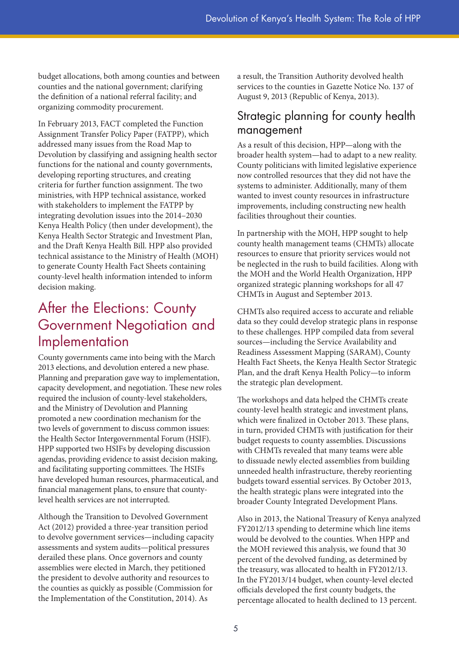budget allocations, both among counties and between counties and the national government; clarifying the definition of a national referral facility; and organizing commodity procurement.

In February 2013, FACT completed the Function Assignment Transfer Policy Paper (FATPP), which addressed many issues from the Road Map to Devolution by classifying and assigning health sector functions for the national and county governments, developing reporting structures, and creating criteria for further function assignment. The two ministries, with HPP technical assistance, worked with stakeholders to implement the FATPP by integrating devolution issues into the 2014–2030 Kenya Health Policy (then under development), the Kenya Health Sector Strategic and Investment Plan, and the Draft Kenya Health Bill. HPP also provided technical assistance to the Ministry of Health (MOH) to generate County Health Fact Sheets containing county-level health information intended to inform decision making.

### After the Elections: County Government Negotiation and Implementation

County governments came into being with the March 2013 elections, and devolution entered a new phase. Planning and preparation gave way to implementation, capacity development, and negotiation. These new roles required the inclusion of county-level stakeholders, and the Ministry of Devolution and Planning promoted a new coordination mechanism for the two levels of government to discuss common issues: the Health Sector Intergovernmental Forum (HSIF). HPP supported two HSIFs by developing discussion agendas, providing evidence to assist decision making, and facilitating supporting committees. The HSIFs have developed human resources, pharmaceutical, and financial management plans, to ensure that countylevel health services are not interrupted.

Although the Transition to Devolved Government Act (2012) provided a three-year transition period to devolve government services—including capacity assessments and system audits—political pressures derailed these plans. Once governors and county assemblies were elected in March, they petitioned the president to devolve authority and resources to the counties as quickly as possible (Commission for the Implementation of the Constitution, 2014). As

a result, the Transition Authority devolved health services to the counties in Gazette Notice No. 137 of August 9, 2013 (Republic of Kenya, 2013).

#### Strategic planning for county health management

As a result of this decision, HPP—along with the broader health system—had to adapt to a new reality. County politicians with limited legislative experience now controlled resources that they did not have the systems to administer. Additionally, many of them wanted to invest county resources in infrastructure improvements, including constructing new health facilities throughout their counties.

In partnership with the MOH, HPP sought to help county health management teams (CHMTs) allocate resources to ensure that priority services would not be neglected in the rush to build facilities. Along with the MOH and the World Health Organization, HPP organized strategic planning workshops for all 47 CHMTs in August and September 2013.

CHMTs also required access to accurate and reliable data so they could develop strategic plans in response to these challenges. HPP compiled data from several sources—including the Service Availability and Readiness Assessment Mapping (SARAM), County Health Fact Sheets, the Kenya Health Sector Strategic Plan, and the draft Kenya Health Policy—to inform the strategic plan development.

The workshops and data helped the CHMTs create county-level health strategic and investment plans, which were finalized in October 2013. These plans, in turn, provided CHMTs with justification for their budget requests to county assemblies. Discussions with CHMTs revealed that many teams were able to dissuade newly elected assemblies from building unneeded health infrastructure, thereby reorienting budgets toward essential services. By October 2013, the health strategic plans were integrated into the broader County Integrated Development Plans.

Also in 2013, the National Treasury of Kenya analyzed FY2012/13 spending to determine which line items would be devolved to the counties. When HPP and the MOH reviewed this analysis, we found that 30 percent of the devolved funding, as determined by the treasury, was allocated to health in FY2012/13. In the FY2013/14 budget, when county-level elected officials developed the first county budgets, the percentage allocated to health declined to 13 percent.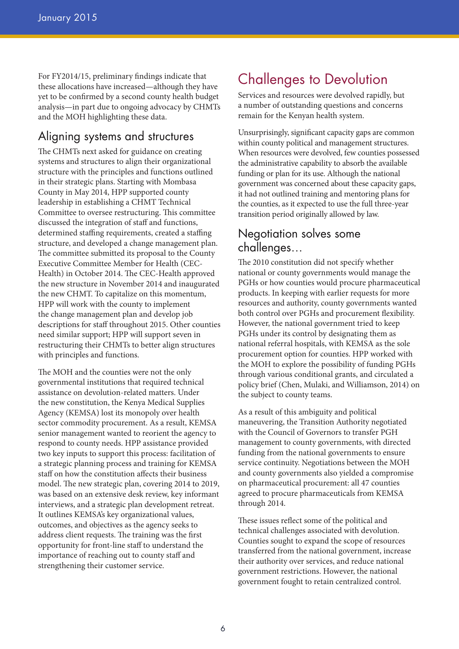For FY2014/15, preliminary findings indicate that these allocations have increased—although they have yet to be confirmed by a second county health budget analysis—in part due to ongoing advocacy by CHMTs and the MOH highlighting these data.

#### Aligning systems and structures

The CHMTs next asked for guidance on creating systems and structures to align their organizational structure with the principles and functions outlined in their strategic plans. Starting with Mombasa County in May 2014, HPP supported county leadership in establishing a CHMT Technical Committee to oversee restructuring. This committee discussed the integration of staff and functions, determined staffing requirements, created a staffing structure, and developed a change management plan. The committee submitted its proposal to the County Executive Committee Member for Health (CEC-Health) in October 2014. The CEC-Health approved the new structure in November 2014 and inaugurated the new CHMT. To capitalize on this momentum, HPP will work with the county to implement the change management plan and develop job descriptions for staff throughout 2015. Other counties need similar support; HPP will support seven in restructuring their CHMTs to better align structures with principles and functions.

The MOH and the counties were not the only governmental institutions that required technical assistance on devolution-related matters. Under the new constitution, the Kenya Medical Supplies Agency (KEMSA) lost its monopoly over health sector commodity procurement. As a result, KEMSA senior management wanted to reorient the agency to respond to county needs. HPP assistance provided two key inputs to support this process: facilitation of a strategic planning process and training for KEMSA staff on how the constitution affects their business model. The new strategic plan, covering 2014 to 2019, was based on an extensive desk review, key informant interviews, and a strategic plan development retreat. It outlines KEMSA's key organizational values, outcomes, and objectives as the agency seeks to address client requests. The training was the first opportunity for front-line staff to understand the importance of reaching out to county staff and strengthening their customer service.

# Challenges to Devolution

Services and resources were devolved rapidly, but a number of outstanding questions and concerns remain for the Kenyan health system.

Unsurprisingly, significant capacity gaps are common within county political and management structures. When resources were devolved, few counties possessed the administrative capability to absorb the available funding or plan for its use. Although the national government was concerned about these capacity gaps, it had not outlined training and mentoring plans for the counties, as it expected to use the full three-year transition period originally allowed by law.

#### Negotiation solves some challenges…

The 2010 constitution did not specify whether national or county governments would manage the PGHs or how counties would procure pharmaceutical products. In keeping with earlier requests for more resources and authority, county governments wanted both control over PGHs and procurement flexibility. However, the national government tried to keep PGHs under its control by designating them as national referral hospitals, with KEMSA as the sole procurement option for counties. HPP worked with the MOH to explore the possibility of funding PGHs through various conditional grants, and circulated a policy brief (Chen, Mulaki, and Williamson, 2014) on the subject to county teams.

As a result of this ambiguity and political maneuvering, the Transition Authority negotiated with the Council of Governors to transfer PGH management to county governments, with directed funding from the national governments to ensure service continuity. Negotiations between the MOH and county governments also yielded a compromise on pharmaceutical procurement: all 47 counties agreed to procure pharmaceuticals from KEMSA through 2014.

These issues reflect some of the political and technical challenges associated with devolution. Counties sought to expand the scope of resources transferred from the national government, increase their authority over services, and reduce national government restrictions. However, the national government fought to retain centralized control.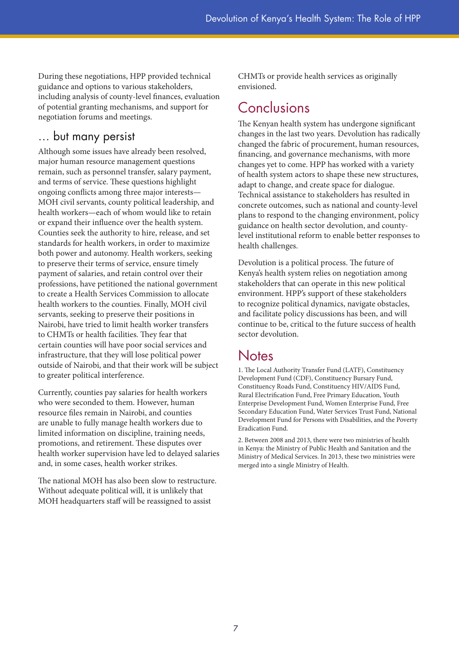During these negotiations, HPP provided technical guidance and options to various stakeholders, including analysis of county-level finances, evaluation of potential granting mechanisms, and support for negotiation forums and meetings.

#### … but many persist

Although some issues have already been resolved, major human resource management questions remain, such as personnel transfer, salary payment, and terms of service. These questions highlight ongoing conflicts among three major interests— MOH civil servants, county political leadership, and health workers—each of whom would like to retain or expand their influence over the health system. Counties seek the authority to hire, release, and set standards for health workers, in order to maximize both power and autonomy. Health workers, seeking to preserve their terms of service, ensure timely payment of salaries, and retain control over their professions, have petitioned the national government to create a Health Services Commission to allocate health workers to the counties. Finally, MOH civil servants, seeking to preserve their positions in Nairobi, have tried to limit health worker transfers to CHMTs or health facilities. They fear that certain counties will have poor social services and infrastructure, that they will lose political power outside of Nairobi, and that their work will be subject to greater political interference.

Currently, counties pay salaries for health workers who were seconded to them. However, human resource files remain in Nairobi, and counties are unable to fully manage health workers due to limited information on discipline, training needs, promotions, and retirement. These disputes over health worker supervision have led to delayed salaries and, in some cases, health worker strikes.

The national MOH has also been slow to restructure. Without adequate political will, it is unlikely that MOH headquarters staff will be reassigned to assist

CHMTs or provide health services as originally envisioned.

#### Conclusions

The Kenyan health system has undergone significant changes in the last two years. Devolution has radically changed the fabric of procurement, human resources, financing, and governance mechanisms, with more changes yet to come. HPP has worked with a variety of health system actors to shape these new structures, adapt to change, and create space for dialogue. Technical assistance to stakeholders has resulted in concrete outcomes, such as national and county-level plans to respond to the changing environment, policy guidance on health sector devolution, and countylevel institutional reform to enable better responses to health challenges.

Devolution is a political process. The future of Kenya's health system relies on negotiation among stakeholders that can operate in this new political environment. HPP's support of these stakeholders to recognize political dynamics, navigate obstacles, and facilitate policy discussions has been, and will continue to be, critical to the future success of health sector devolution.

#### **Notes**

1. The Local Authority Transfer Fund (LATF), Constituency Development Fund (CDF), Constituency Bursary Fund, Constituency Roads Fund, Constituency HIV/AIDS Fund, Rural Electrification Fund, Free Primary Education, Youth Enterprise Development Fund, Women Enterprise Fund, Free Secondary Education Fund, Water Services Trust Fund, National Development Fund for Persons with Disabilities, and the Poverty Eradication Fund.

2. Between 2008 and 2013, there were two ministries of health in Kenya: the Ministry of Public Health and Sanitation and the Ministry of Medical Services. In 2013, these two ministries were merged into a single Ministry of Health.